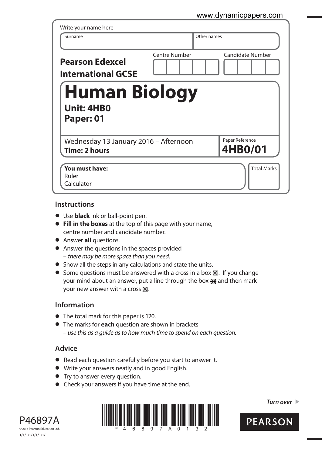### www.dynamicpapers.com

| Write your name here                  |                      |                         |
|---------------------------------------|----------------------|-------------------------|
| Surname                               |                      | Other names             |
|                                       | <b>Centre Number</b> | <b>Candidate Number</b> |
| <b>Pearson Edexcel</b>                |                      |                         |
| <b>International GCSE</b>             |                      |                         |
|                                       |                      |                         |
| <b>Human Biology</b>                  |                      |                         |
| <b>Unit: 4HB0</b>                     |                      |                         |
| Paper: 01                             |                      |                         |
|                                       |                      |                         |
| Wednesday 13 January 2016 - Afternoon |                      | Paper Reference         |
| <b>Time: 2 hours</b>                  |                      | 4HB0/01                 |
|                                       |                      |                         |
| You must have:                        |                      | <b>Total Marks</b>      |
| Ruler                                 |                      |                         |
| Calculator                            |                      |                         |

#### **Instructions**

- **•** Use **black** ink or ball-point pen.
- **• Fill in the boxes** at the top of this page with your name, centre number and candidate number.
- **•** Answer **all** questions.
- **•** Answer the questions in the spaces provided – there may be more space than you need.
- **•** Show all the steps in any calculations and state the units.
- Some questions must be answered with a cross in a box  $\boxtimes$ . If you change your mind about an answer, put a line through the box  $\mathbb R$  and then mark your new answer with a cross  $\times$ .

#### **Information**

- **•** The total mark for this paper is 120.
- **•** The marks for **each** question are shown in brackets – use this as a guide as to how much time to spend on each question.

### **Advice**

- **•** Read each question carefully before you start to answer it.
- Read each question carefully before you start t<br>• Write your answers neatly and in good English. • Write your answers neatly and in good English.<br>• Try to answer every question.
- 
- **•** Check your answers if you have time at the end.





*Turn over* 

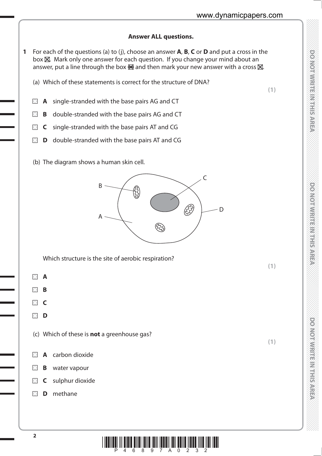#### **Answer ALL questions.**

- **1** For each of the questions (a) to (j), choose an answer **A**, **B**, **C** or **D** and put a cross in the box  $\boxtimes$ . Mark only one answer for each question. If you change your mind about an answer, put a line through the box  $\mathbb R$  and then mark your new answer with a cross  $\mathbb X$ .
	- (a) Which of these statements is correct for the structure of DNA?

**(1)**

- **A** single-stranded with the base pairs AG and CT
- **B double-stranded with the base pairs AG and CT**
- **C** single-stranded with the base pairs AT and CG
- **D** double-stranded with the base pairs AT and CG
- (b) The diagram shows a human skin cell.



Which structure is the site of aerobic respiration?

- **A**
- **B**
- **E**  $\mathbb{Z}$
- **D**
- (c) Which of these is **not** a greenhouse gas?
- **A** carbon dioxide
- **B** water vapour
- **C** sulphur dioxide
- **D** methane

**(1)**

**(1)**

DOMORWATE MATHSWED

 **DO NOT WRITE IN THE IN THIS AREA DO NOT WRITE IN THIS AREA DO NOT WRITE IN THIS AREA DO NOT WRITE IN THIS AREA DO NOT WRITE IN THE INTERNATIONAL CONTINUES. THE INTERNATIONAL CONTINUES. WE are also assumed to the internat** 

**DO NOT WRITE IN THIS AREA** 

**DO NOTWRITE INTERNATION** 

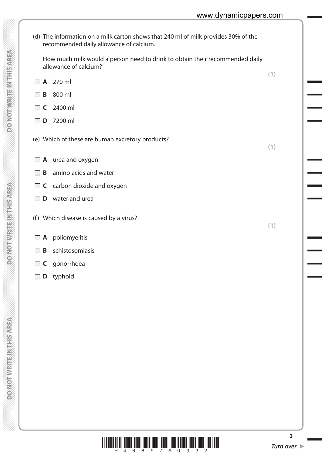(d) The information on a milk carton shows that 240 ml of milk provides 30% of the recommended daily allowance of calcium.

 How much milk would a person need to drink to obtain their recommended daily allowance of calcium?

|                   |                                                  | (1) |
|-------------------|--------------------------------------------------|-----|
| A<br>$\times$     | 270 ml                                           |     |
| B<br>$\times$     | 800 ml                                           |     |
| $\times$<br>C     | 2400 ml                                          |     |
| D<br>$\times$     | 7200 ml                                          |     |
|                   | (e) Which of these are human excretory products? | (1) |
| $\times$<br>A     | urea and oxygen                                  |     |
| B<br>$\boxtimes$  | amino acids and water                            |     |
| $\boxtimes$<br>C  | carbon dioxide and oxygen                        |     |
| X<br>D            | water and urea                                   |     |
|                   | (f) Which disease is caused by a virus?          | (1) |
| A<br>$\boxtimes$  | poliomyelitis                                    |     |
| B<br>$\mathbb{X}$ | schistosomiasis                                  |     |
| C<br>$\times$     | gonorrhoea                                       |     |

**D** typhoid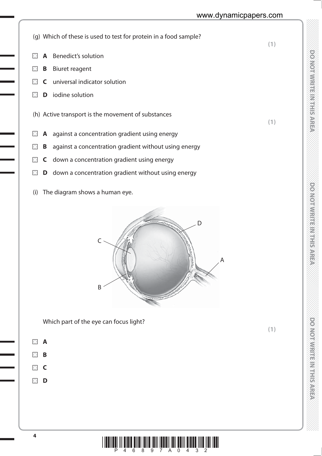**(1)**

**(1)**

(g) Which of these is used to test for protein in a food sample?

- **A** Benedict's solution
- **B** Biuret reagent
- **C** universal indicator solution
- **D iodine** solution
- (h) Active transport is the movement of substances
- **A** against a concentration gradient using energy
- **B B** against a concentration gradient without using energy
- **C** down a concentration gradient using energy
- **D** down a concentration gradient without using energy
- (i) The diagram shows a human eye.



Which part of the eye can focus light?

**(1)**





 **A** 

 **B**

 **D** 

 **C**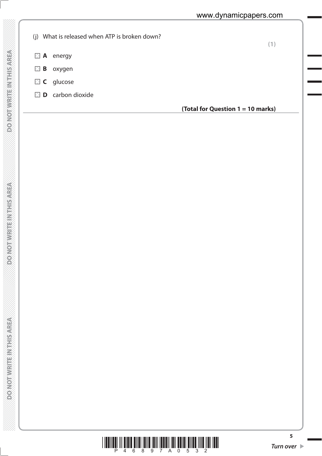- (j) What is released when ATP is broken down?
- **A** energy
- **B** oxygen
- **C** glucose
- **D** carbon dioxide

**(Total for Question 1 = 10 marks)**



**5**

**(1)**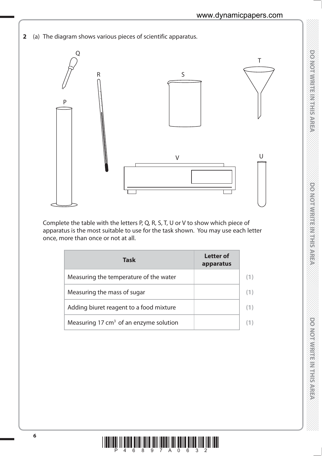**2** (a) The diagram shows various pieces of scientific apparatus.



 Complete the table with the letters P, Q, R, S, T, U or V to show which piece of apparatus is the most suitable to use for the task shown. You may use each letter once, more than once or not at all.

| <b>Task</b>                              | <b>Letter of</b><br>apparatus |  |
|------------------------------------------|-------------------------------|--|
| Measuring the temperature of the water   |                               |  |
| Measuring the mass of sugar              |                               |  |
| Adding biuret reagent to a food mixture  |                               |  |
| Measuring 17 $cm3$ of an enzyme solution |                               |  |

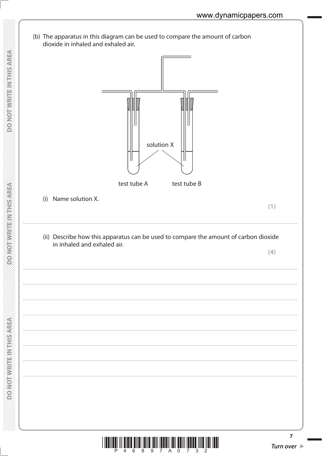

P

**DO NOTWRITEINING AREA** 

**DOMOT WRITEINBIHS MIREA**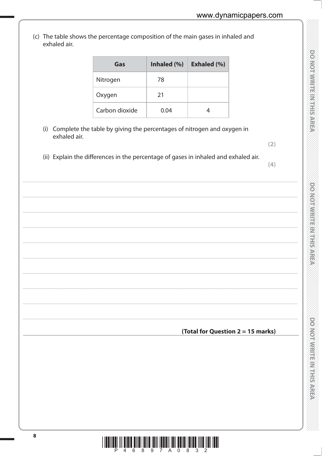(c) The table shows the percentage composition of the main gases in inhaled and exhaled air.

| Gas            | Inhaled $(\% )$ | <b>Exhaled (%)</b> |
|----------------|-----------------|--------------------|
| Nitrogen       | 78              |                    |
| Oxygen         | 21              |                    |
| Carbon dioxide | 0.04            |                    |

(i) Complete the table by giving the percentages of nitrogen and oxygen in exhaled air.

 $(2)$ 

(ii) Explain the differences in the percentage of gases in inhaled and exhaled air.

 $(4)$ 

# (Total for Question 2 = 15 marks)



**DOMORWISH STREET** 

**DOMORATIE METRISARE?**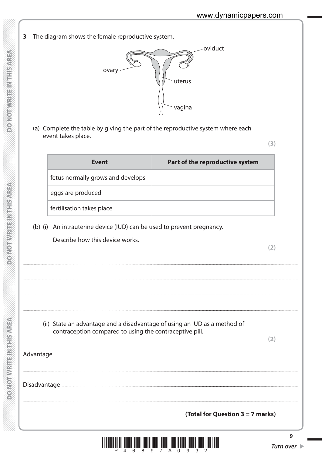The diagram shows the female reproductive system.  $\overline{\mathbf{3}}$ 



(a) Complete the table by giving the part of the reproductive system where each event takes place.

 $(3)$ 

| <b>Event</b>                      | Part of the reproductive system |
|-----------------------------------|---------------------------------|
| fetus normally grows and develops |                                 |
| eggs are produced                 |                                 |
| fertilisation takes place         |                                 |

(b) (i) An intrauterine device (IUD) can be used to prevent pregnancy.

Describe how this device works.

 $(2)$ 

(ii) State an advantage and a disadvantage of using an IUD as a method of contraception compared to using the contraceptive pill.

 $(2)$ 



 $\overline{9}$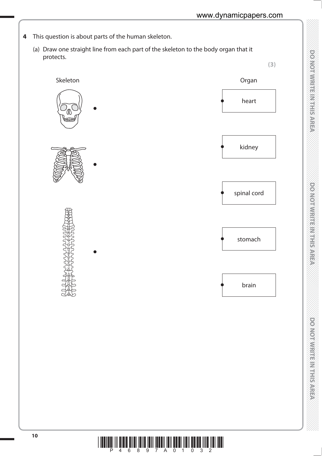- **4** This question is about parts of the human skeleton.
	- (a) Draw one straight line from each part of the skeleton to the body organ that it protects.

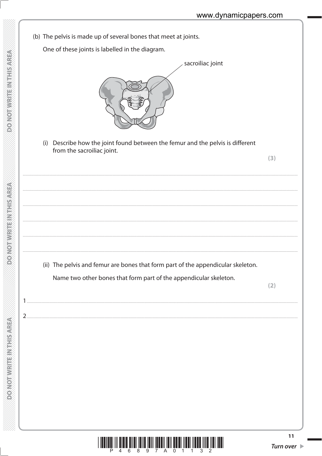(b) The pelvis is made up of several bones that meet at joints. One of these joints is labelled in the diagram. sacroiliac joint (i) Describe how the joint found between the femur and the pelvis is different from the sacroiliac joint.  $(3)$ (ii) The pelvis and femur are bones that form part of the appendicular skeleton. Name two other bones that form part of the appendicular skeleton.  $(2)$ 2  $11$ 

<u>inin yıllı yıllı yıllı yuru yıllı yıllı yıllı yıllı y</u>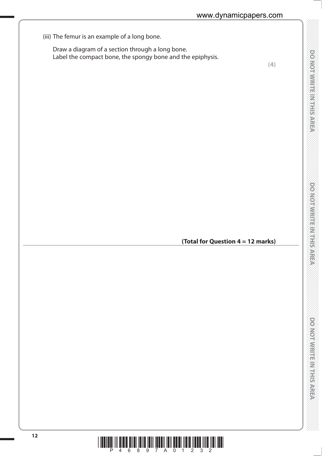(iii) The femur is an example of a long bone.

 Draw a diagram of a section through a long bone. Label the compact bone, the spongy bone and the epiphysis.

**(4)**

**DONOTWRITE IN THIS AREA** 

**DOMOTWRITEINISHER** 

#### **(Total for Question 4 = 12 marks)**

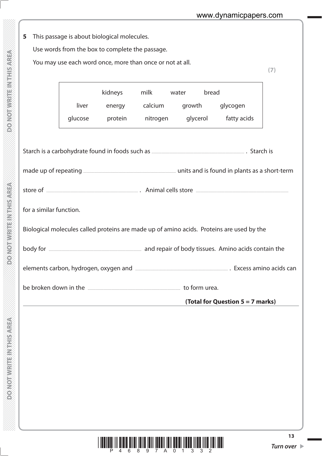**5** This passage is about biological molecules.

Use words from the box to complete the passage.

You may use each word once, more than once or not at all.

|                         |         |         |         |                   |                                                                                                                                                                                                                                      | (7) |
|-------------------------|---------|---------|---------|-------------------|--------------------------------------------------------------------------------------------------------------------------------------------------------------------------------------------------------------------------------------|-----|
|                         |         | kidneys | milk    | bread<br>water    |                                                                                                                                                                                                                                      |     |
|                         | liver   | energy  | calcium | growth            | glycogen                                                                                                                                                                                                                             |     |
|                         | glucose | protein |         | nitrogen glycerol | fatty acids                                                                                                                                                                                                                          |     |
|                         |         |         |         |                   |                                                                                                                                                                                                                                      |     |
|                         |         |         |         |                   |                                                                                                                                                                                                                                      |     |
|                         |         |         |         |                   |                                                                                                                                                                                                                                      |     |
|                         |         |         |         |                   | store of <b>with an activity and the community of the contract of the community of the community of the community of the community of the community of the community of the community of the community of the community of the c</b> |     |
| for a similar function. |         |         |         |                   |                                                                                                                                                                                                                                      |     |
|                         |         |         |         |                   | Biological molecules called proteins are made up of amino acids. Proteins are used by the                                                                                                                                            |     |
|                         |         |         |         |                   |                                                                                                                                                                                                                                      |     |
|                         |         |         |         |                   |                                                                                                                                                                                                                                      |     |
|                         |         |         |         |                   |                                                                                                                                                                                                                                      |     |
|                         |         |         |         |                   | (Total for Question $5 = 7$ marks)                                                                                                                                                                                                   |     |
|                         |         |         |         |                   |                                                                                                                                                                                                                                      |     |

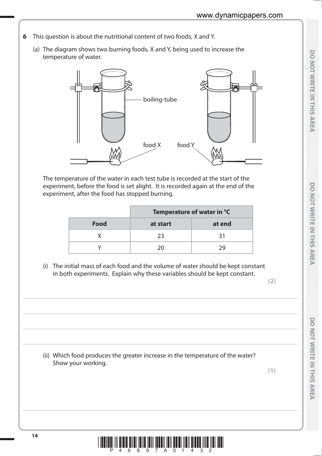- **6** This question is about the nutritional content of two foods, X and Y.
	- (a) The diagram shows two burning foods, X and Y, being used to increase the temperature of water.



 The temperature of the water in each test tube is recorded at the start of the experiment, before the food is set alight. It is recorded again at the end of the experiment, after the food has stopped burning.

|             | Temperature of water in °C |        |
|-------------|----------------------------|--------|
| <b>Food</b> | at start                   | at end |
|             | 23                         | २1     |
|             | 20                         | 29     |

 (i) The initial mass of each food and the volume of water should be kept constant in both experiments. Explain why these variables should be kept constant.

....................................................................................................................................................................................................................................................................................

....................................................................................................................................................................................................................................................................................

....................................................................................................................................................................................................................................................................................

....................................................................................................................................................................................................................................................................................

**DO NOTWRITE INTERNATION** 

**DOMOTIVITE IN THE SARE** 

 (ii) Which food produces the greater increase in the temperature of the water? Show your working.

**(1)**



....................................................................................................................................................................................................................................................................................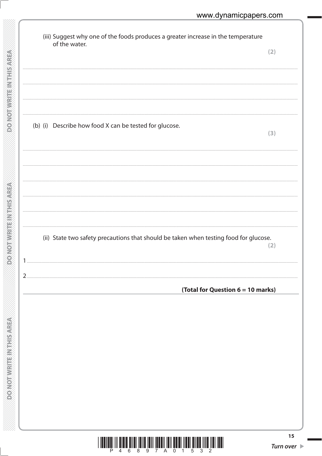|                | of the water.                                                                         | (iii) Suggest why one of the foods produces a greater increase in the temperature<br>(2) |
|----------------|---------------------------------------------------------------------------------------|------------------------------------------------------------------------------------------|
|                | (b) (i) Describe how food X can be tested for glucose.                                | (3)                                                                                      |
|                | (ii) State two safety precautions that should be taken when testing food for glucose. | $\mathbf{2}$                                                                             |
| $\overline{2}$ | (Total for Question 6 = 10 marks)                                                     |                                                                                          |

Turn over  $\blacktriangleright$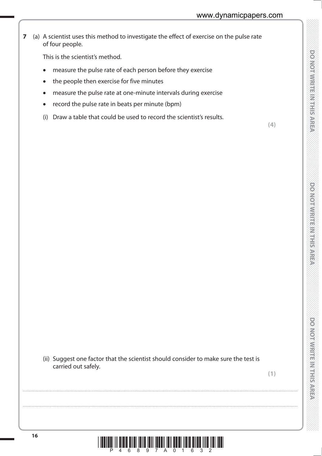**7** (a) A scientist uses this method to investigate the effect of exercise on the pulse rate of four people.

This is the scientist's method.

- measure the pulse rate of each person before they exercise
- the people then exercise for five minutes
- measure the pulse rate at one-minute intervals during exercise
- record the pulse rate in beats per minute (bpm)
- (i) Draw a table that could be used to record the scientist's results.

 **DO NOT WRITE IN THE IN THIS AREA DO NOT WRITE IN THIS AREA DO NOT WRITE IN THIS AREA DO NOT WRITE IN THIS AREA DO NOT WRITE IN THE INTERNATIONAL CONTINUES. THE INTERNATIONAL CONTINUES. WE are also assumed to the internat** 

DO NOTWRITE IN THE AREA

**DO NOIMENTE NUTIER AREA** 

DO NOT WRITE IN THIS AREA

 (ii) Suggest one factor that the scientist should consider to make sure the test is carried out safely.

....................................................................................................................................................................................................................................................................................

....................................................................................................................................................................................................................................................................................

**(1)**

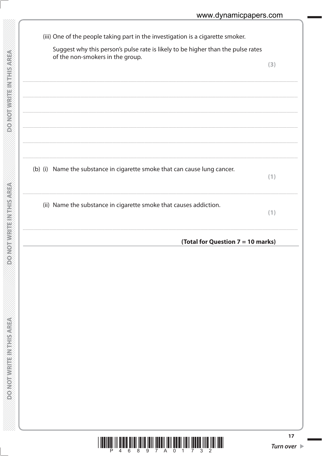(iii) One of the people taking part in the investigation is a cigarette smoker. Suggest why this person's pulse rate is likely to be higher than the pulse rates of the non-smokers in the group.  $(3)$ 

(b) (i) Name the substance in cigarette smoke that can cause lung cancer.

 $(1)$ 

(ii) Name the substance in cigarette smoke that causes addiction.

 $(1)$ 

### (Total for Question 7 = 10 marks)

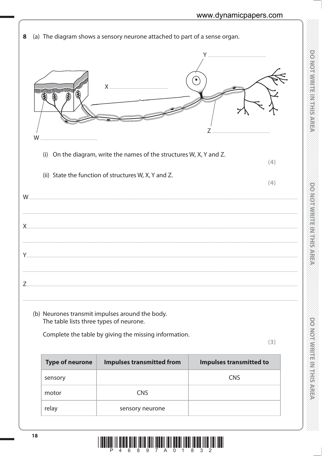**DO NOTWRITE IN THIS AREA** 

**DOMOTIVRITIEIN MEETING** 

DONOTWRITE IN THIS AREA

| 8                | (a) The diagram shows a sensory neurone attached to part of a sense organ. |                                                                      |                                |  |  |
|------------------|----------------------------------------------------------------------------|----------------------------------------------------------------------|--------------------------------|--|--|
|                  | $\widetilde{\circledast}$<br>3<br>$\circledS$<br>(3)<br>W                  | $X_{-}$                                                              |                                |  |  |
|                  |                                                                            | (i) On the diagram, write the names of the structures W, X, Y and Z. | (4)                            |  |  |
|                  |                                                                            | (ii) State the function of structures W, X, Y and Z.                 | (4)                            |  |  |
|                  |                                                                            |                                                                      |                                |  |  |
|                  |                                                                            |                                                                      |                                |  |  |
| Y.               |                                                                            |                                                                      |                                |  |  |
| $Z_{\cdot\cdot}$ |                                                                            |                                                                      |                                |  |  |
|                  |                                                                            |                                                                      |                                |  |  |
|                  | The table lists three types of neurone.                                    | (b) Neurones transmit impulses around the body.                      |                                |  |  |
|                  |                                                                            | Complete the table by giving the missing information.                | (3)                            |  |  |
|                  | <b>Type of neurone</b>                                                     | <b>Impulses transmitted from</b>                                     | <b>Impulses transmitted to</b> |  |  |
|                  | sensory                                                                    |                                                                      | <b>CNS</b>                     |  |  |
|                  | motor                                                                      | CNS                                                                  |                                |  |  |
|                  | relay                                                                      | sensory neurone                                                      |                                |  |  |

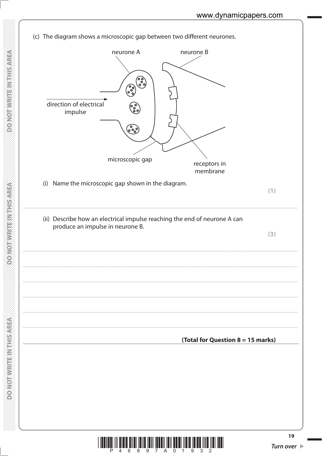(c) The diagram shows a microscopic gap between two different neurones. neurone A neurone B  $\begin{matrix} 0 \\ 0 \\ 0 \end{matrix}$ direction of electrical impulse **OOO** microscopic gap receptors in membrane (i) Name the microscopic gap shown in the diagram.  $(1)$ (ii) Describe how an electrical impulse reaching the end of neurone A can produce an impulse in neurone B.  $(3)$ (Total for Question 8 = 15 marks)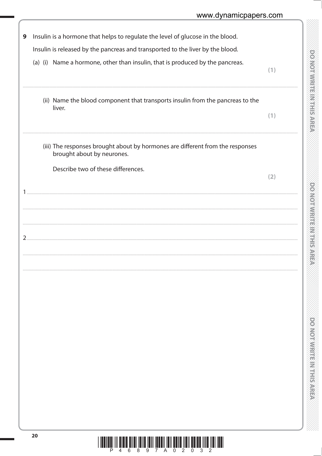9 Insulin is a hormone that helps to regulate the level of glucose in the blood. Insulin is released by the pancreas and transported to the liver by the blood.

- (a) (i) Name a hormone, other than insulin, that is produced by the pancreas.
- $(1)$

**DO NOTWRITE INTERNATION** 

power with the manufacture

**DO NOT WRITE IN THIS ARE?** 

- (ii) Name the blood component that transports insulin from the pancreas to the liver.
- $(1)$
- (iii) The responses brought about by hormones are different from the responses brought about by neurones.

Describe two of these differences.

 $(2)$ 

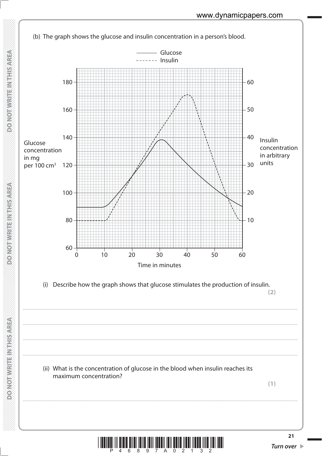

 $6<sup>8</sup>$ 

 $9^{\circ}$ 

 $7 A 0 2 1$ 

**DO NOTWRITE NITHS AREA** 

**DOMOTIVEREE NEEDSAGE**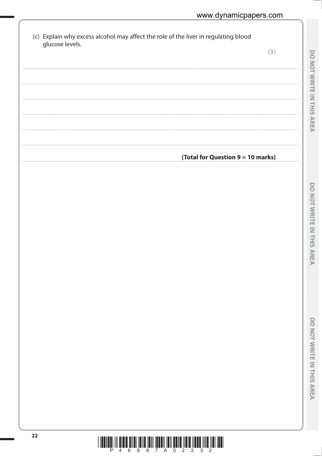| glucose levels. |  | (3)                               |  |
|-----------------|--|-----------------------------------|--|
|                 |  |                                   |  |
|                 |  |                                   |  |
|                 |  |                                   |  |
|                 |  |                                   |  |
|                 |  |                                   |  |
|                 |  |                                   |  |
|                 |  |                                   |  |
|                 |  | (Total for Question 9 = 10 marks) |  |
|                 |  |                                   |  |
|                 |  |                                   |  |
|                 |  |                                   |  |
|                 |  |                                   |  |
|                 |  |                                   |  |
|                 |  |                                   |  |
|                 |  |                                   |  |
|                 |  |                                   |  |
|                 |  |                                   |  |
|                 |  |                                   |  |
|                 |  |                                   |  |
|                 |  |                                   |  |
|                 |  |                                   |  |
|                 |  |                                   |  |
|                 |  |                                   |  |
|                 |  |                                   |  |
|                 |  |                                   |  |
|                 |  |                                   |  |
|                 |  |                                   |  |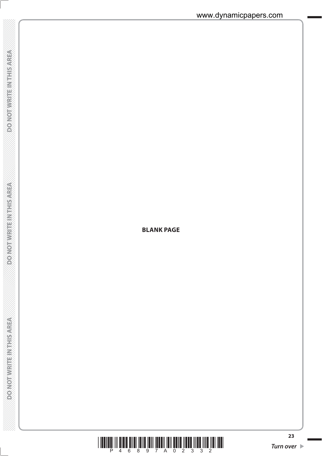**PONOTWERFERMAN CONCO** 

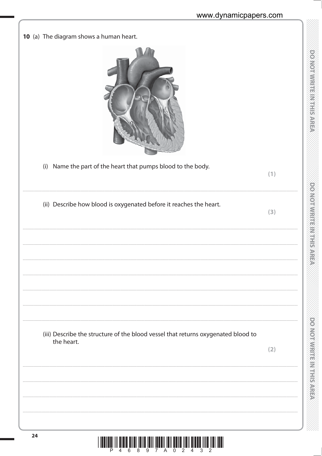| 10 (a) The diagram shows a human heart.                                           |     |
|-----------------------------------------------------------------------------------|-----|
| (i) Name the part of the heart that pumps blood to the body.                      | (1) |
| (ii) Describe how blood is oxygenated before it reaches the heart.                | (3) |
|                                                                                   |     |
|                                                                                   |     |
|                                                                                   |     |
|                                                                                   |     |
|                                                                                   |     |
|                                                                                   |     |
| (iii) Describe the structure of the blood vessel that returns oxygenated blood to |     |
| the heart.                                                                        | (2) |
|                                                                                   |     |
|                                                                                   |     |
|                                                                                   |     |
| 24                                                                                |     |
|                                                                                   |     |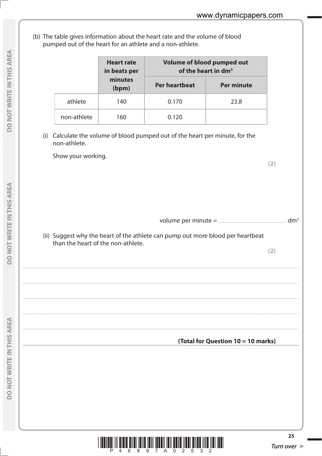(b) The table gives information about the heart rate and the volume of blood pumped out of the heart for an athlete and a non-athlete.

|             | <b>Heart rate</b><br>in beats per | <b>Volume of blood pumped out</b><br>of the heart in dm <sup>3</sup> |                   |
|-------------|-----------------------------------|----------------------------------------------------------------------|-------------------|
|             | minutes<br>(bpm)                  | <b>Per heartbeat</b>                                                 | <b>Per minute</b> |
| athlete     | 140                               | 0.170                                                                | 23.8              |
| non-athlete | 160                               | 0.120                                                                |                   |

(i) Calculate the volume of blood pumped out of the heart per minute, for the non-athlete.

Show your working.

 $(2)$ 

- (ii) Suggest why the heart of the athlete can pump out more blood per heartbeat than the heart of the non-athlete.
- $(2)$

(Total for Question 10 = 10 marks)

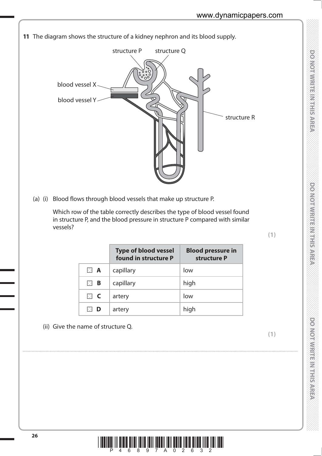**11** The diagram shows the structure of a kidney nephron and its blood supply.



(a) (i) Blood flows through blood vessels that make up structure P.

 Which row of the table correctly describes the type of blood vessel found in structure P, and the blood pressure in structure P compared with similar vessels?

|                | <b>Type of blood vessel</b><br>found in structure P | <b>Blood pressure in</b><br>structure P |
|----------------|-----------------------------------------------------|-----------------------------------------|
| $\boxtimes$ A  | capillary                                           | low                                     |
| $\overline{B}$ | capillary                                           | high                                    |
| $\boxtimes$ C  | artery                                              | low                                     |
| D              | artery                                              | high                                    |

....................................................................................................................................................................................................................................................................................

(ii) Give the name of structure Q.



**(1)**

 **DO NOT WRITE IN THE IN THIS AREA DO NOT WRITE IN THIS AREA DO NOT WRITE IN THIS AREA DO NOT WRITE IN THIS AREA DO NOT WRITE IN THE INTERNATIONAL CONTINUES. THE INTERNATIONAL CONTINUES. WE are also assumed to the internat** 

DO NOTWRITE IN THE AREA

**DOMORATIE METRISARE?** 

DO NOT WRITE IN THIS AREA

**<sup>26</sup>** \*P46897A02632\*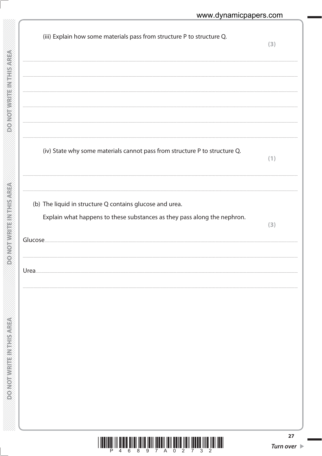| (iii) Explain how some materials pass from structure P to structure Q.     |     |
|----------------------------------------------------------------------------|-----|
|                                                                            |     |
|                                                                            |     |
|                                                                            |     |
|                                                                            |     |
|                                                                            |     |
| (iv) State why some materials cannot pass from structure P to structure Q. | (1) |
|                                                                            |     |
| (b) The liquid in structure Q contains glucose and urea.                   |     |
| Explain what happens to these substances as they pass along the nephron.   | (3) |
|                                                                            |     |
|                                                                            |     |
|                                                                            |     |
|                                                                            |     |
|                                                                            |     |
|                                                                            |     |
|                                                                            |     |
|                                                                            |     |
|                                                                            |     |
|                                                                            |     |
|                                                                            |     |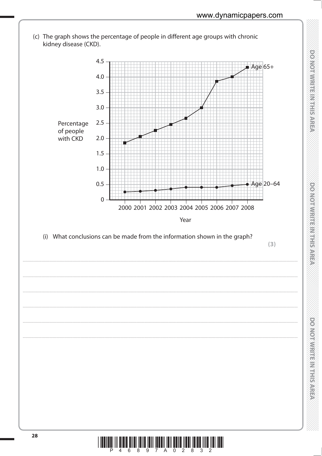

 $\lim_{\mathcal{A}}\lim_{\mathcal{B}}\lim_{\mathcal{B}}\lim_{\mathcal{B}}\lim_{\mathcal{B}}\lim_{\mathcal{B}}\lim_{\mathcal{B}}\lim_{\mathcal{B}}\lim_{\mathcal{B}}\lim_{\mathcal{B}}\lim_{\mathcal{B}}\lim_{\mathcal{B}}\lim_{\mathcal{B}}\lim_{\mathcal{B}}\lim_{\mathcal{B}}\lim_{\mathcal{B}}\lim_{\mathcal{B}}\lim_{\mathcal{B}}\lim_{\mathcal{B}}\lim_{\mathcal{B}}\lim_{\mathcal{B}}\lim_{\mathcal{B}}\lim_{\mathcal{B}}\lim_{\mathcal{B}}\lim_{\$ 

P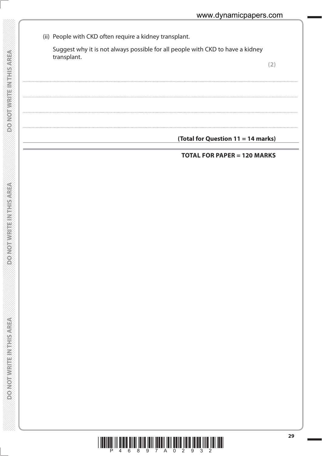(ii) People with CKD often require a kidney transplant.

Suggest why it is not always possible for all people with CKD to have a kidney transplant.

 $(2)$ 

(Total for Question 11 = 14 marks)

#### **TOTAL FOR PAPER = 120 MARKS**

29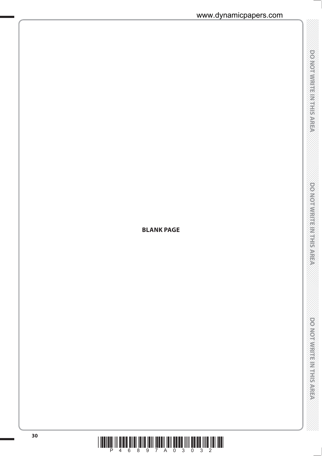## www.dynamicpapers.com

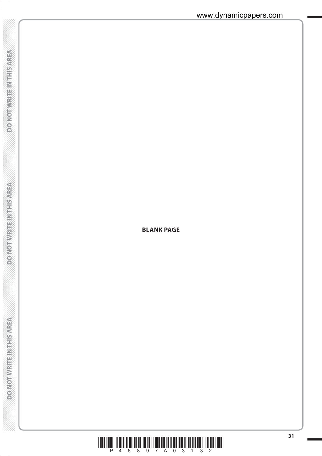